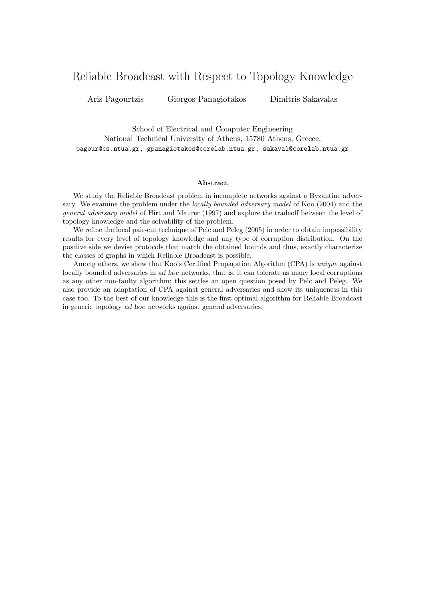# Reliable Broadcast with Respect to Topology Knowledge

Aris Pagourtzis Giorgos Panagiotakos Dimitris Sakavalas

School of Electrical and Computer Engineering National Technical University of Athens, 15780 Athens, Greece, pagour@cs.ntua.gr, gpanagiotakos@corelab.ntua.gr, sakaval@corelab.ntua.gr

### Abstract

We study the Reliable Broadcast problem in incomplete networks against a Byzantine adversary. We examine the problem under the *locally bounded adversary model* of Koo (2004) and the general adversary model of Hirt and Maurer (1997) and explore the tradeoff between the level of topology knowledge and the solvability of the problem.

We refine the local pair-cut technique of Pelc and Peleg (2005) in order to obtain impossibility results for every level of topology knowledge and any type of corruption distribution. On the positive side we devise protocols that match the obtained bounds and thus, exactly characterize the classes of graphs in which Reliable Broadcast is possible.

Among others, we show that Koo's Certified Propagation Algorithm (CPA) is *unique* against locally bounded adversaries in ad hoc networks, that is, it can tolerate as many local corruptions as any other non-faulty algorithm; this settles an open question posed by Pelc and Peleg. We also provide an adaptation of CPA against general adversaries and show its uniqueness in this case too. To the best of our knowledge this is the first optimal algorithm for Reliable Broadcast in generic topology ad hoc networks against general adversaries.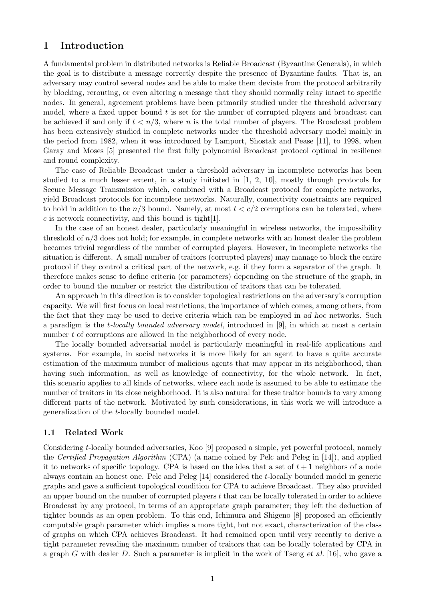## 1 Introduction

A fundamental problem in distributed networks is Reliable Broadcast (Byzantine Generals), in which the goal is to distribute a message correctly despite the presence of Byzantine faults. That is, an adversary may control several nodes and be able to make them deviate from the protocol arbitrarily by blocking, rerouting, or even altering a message that they should normally relay intact to specific nodes. In general, agreement problems have been primarily studied under the threshold adversary model, where a fixed upper bound t is set for the number of corrupted players and broadcast can be achieved if and only if  $t < n/3$ , where n is the total number of players. The Broadcast problem has been extensively studied in complete networks under the threshold adversary model mainly in the period from 1982, when it was introduced by Lamport, Shostak and Pease [11], to 1998, when Garay and Moses [5] presented the first fully polynomial Broadcast protocol optimal in resilience and round complexity.

The case of Reliable Broadcast under a threshold adversary in incomplete networks has been studied to a much lesser extent, in a study initiated in [1, 2, 10], mostly through protocols for Secure Message Transmission which, combined with a Broadcast protocol for complete networks, yield Broadcast protocols for incomplete networks. Naturally, connectivity constraints are required to hold in addition to the  $n/3$  bound. Namely, at most  $t < c/2$  corruptions can be tolerated, where  $c$  is network connectivity, and this bound is tight [1].

In the case of an honest dealer, particularly meaningful in wireless networks, the impossibility threshold of  $n/3$  does not hold; for example, in complete networks with an honest dealer the problem becomes trivial regardless of the number of corrupted players. However, in incomplete networks the situation is different. A small number of traitors (corrupted players) may manage to block the entire protocol if they control a critical part of the network, e.g. if they form a separator of the graph. It therefore makes sense to define criteria (or parameters) depending on the structure of the graph, in order to bound the number or restrict the distribution of traitors that can be tolerated.

An approach in this direction is to consider topological restrictions on the adversary's corruption capacity. We will first focus on local restrictions, the importance of which comes, among others, from the fact that they may be used to derive criteria which can be employed in ad hoc networks. Such a paradigm is the t-locally bounded adversary model, introduced in [9], in which at most a certain number t of corruptions are allowed in the neighborhood of every node.

The locally bounded adversarial model is particularly meaningful in real-life applications and systems. For example, in social networks it is more likely for an agent to have a quite accurate estimation of the maximum number of malicious agents that may appear in its neighborhood, than having such information, as well as knowledge of connectivity, for the whole network. In fact, this scenario applies to all kinds of networks, where each node is assumed to be able to estimate the number of traitors in its close neighborhood. It is also natural for these traitor bounds to vary among different parts of the network. Motivated by such considerations, in this work we will introduce a generalization of the t-locally bounded model.

### 1.1 Related Work

Considering t-locally bounded adversaries, Koo [9] proposed a simple, yet powerful protocol, namely the Certified Propagation Algorithm (CPA) (a name coined by Pelc and Peleg in [14]), and applied it to networks of specific topology. CPA is based on the idea that a set of  $t + 1$  neighbors of a node always contain an honest one. Pelc and Peleg [14] considered the t-locally bounded model in generic graphs and gave a sufficient topological condition for CPA to achieve Broadcast. They also provided an upper bound on the number of corrupted players  $t$  that can be locally tolerated in order to achieve Broadcast by any protocol, in terms of an appropriate graph parameter; they left the deduction of tighter bounds as an open problem. To this end, Ichimura and Shigeno [8] proposed an efficiently computable graph parameter which implies a more tight, but not exact, characterization of the class of graphs on which CPA achieves Broadcast. It had remained open until very recently to derive a tight parameter revealing the maximum number of traitors that can be locally tolerated by CPA in a graph G with dealer D. Such a parameter is implicit in the work of Tseng et al. [16], who gave a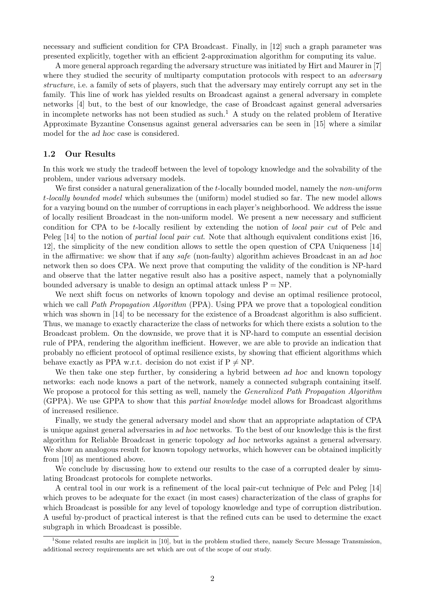necessary and sufficient condition for CPA Broadcast. Finally, in [12] such a graph parameter was presented explicitly, together with an efficient 2-approximation algorithm for computing its value.

A more general approach regarding the adversary structure was initiated by Hirt and Maurer in [7] where they studied the security of multiparty computation protocols with respect to an *adversary* structure, i.e. a family of sets of players, such that the adversary may entirely corrupt any set in the family. This line of work has yielded results on Broadcast against a general adversary in complete networks [4] but, to the best of our knowledge, the case of Broadcast against general adversaries in incomplete networks has not been studied as such.<sup>1</sup> A study on the related problem of Iterative Approximate Byzantine Consensus against general adversaries can be seen in [15] where a similar model for the ad hoc case is considered.

#### 1.2 Our Results

In this work we study the tradeoff between the level of topology knowledge and the solvability of the problem, under various adversary models.

We first consider a natural generalization of the t-locally bounded model, namely the *non-uniform* t-locally bounded model which subsumes the (uniform) model studied so far. The new model allows for a varying bound on the number of corruptions in each player's neighborhood. We address the issue of locally resilient Broadcast in the non-uniform model. We present a new necessary and sufficient condition for CPA to be t-locally resilient by extending the notion of local pair cut of Pelc and Peleg [14] to the notion of *partial local pair cut*. Note that although equivalent conditions exist [16, 12], the simplicity of the new condition allows to settle the open question of CPA Uniqueness [14] in the affirmative: we show that if any safe (non-faulty) algorithm achieves Broadcast in an ad hoc network then so does CPA. We next prove that computing the validity of the condition is NP-hard and observe that the latter negative result also has a positive aspect, namely that a polynomially bounded adversary is unable to design an optimal attack unless  $P = NP$ .

We next shift focus on networks of known topology and devise an optimal resilience protocol, which we call Path Propagation Algorithm (PPA). Using PPA we prove that a topological condition which was shown in [14] to be necessary for the existence of a Broadcast algorithm is also sufficient. Thus, we manage to exactly characterize the class of networks for which there exists a solution to the Broadcast problem. On the downside, we prove that it is NP-hard to compute an essential decision rule of PPA, rendering the algorithm inefficient. However, we are able to provide an indication that probably no efficient protocol of optimal resilience exists, by showing that efficient algorithms which behave exactly as PPA w.r.t. decision do not exist if  $P \neq NP$ .

We then take one step further, by considering a hybrid between ad hoc and known topology networks: each node knows a part of the network, namely a connected subgraph containing itself. We propose a protocol for this setting as well, namely the *Generalized Path Propagation Algorithm* (GPPA). We use GPPA to show that this partial knowledge model allows for Broadcast algorithms of increased resilience.

Finally, we study the general adversary model and show that an appropriate adaptation of CPA is unique against general adversaries in ad hoc networks. To the best of our knowledge this is the first algorithm for Reliable Broadcast in generic topology ad hoc networks against a general adversary. We show an analogous result for known topology networks, which however can be obtained implicitly from [10] as mentioned above.

We conclude by discussing how to extend our results to the case of a corrupted dealer by simulating Broadcast protocols for complete networks.

A central tool in our work is a refinement of the local pair-cut technique of Pelc and Peleg [14] which proves to be adequate for the exact (in most cases) characterization of the class of graphs for which Broadcast is possible for any level of topology knowledge and type of corruption distribution. A useful by-product of practical interest is that the refined cuts can be used to determine the exact subgraph in which Broadcast is possible.

<sup>1</sup>Some related results are implicit in [10], but in the problem studied there, namely Secure Message Transmission, additional secrecy requirements are set which are out of the scope of our study.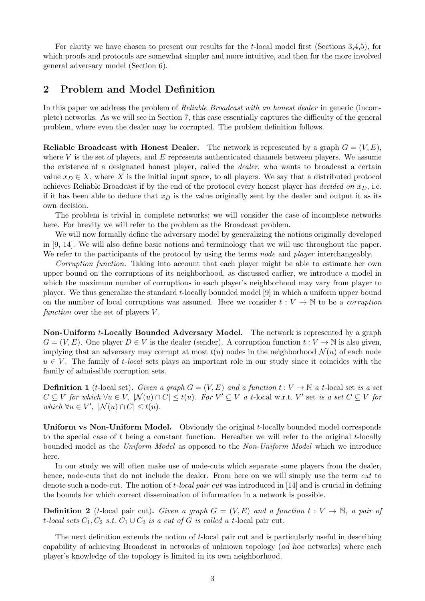For clarity we have chosen to present our results for the t-local model first (Sections 3,4,5), for which proofs and protocols are somewhat simpler and more intuitive, and then for the more involved general adversary model (Section 6).

# 2 Problem and Model Definition

In this paper we address the problem of *Reliable Broadcast with an honest dealer* in generic (incomplete) networks. As we will see in Section 7, this case essentially captures the difficulty of the general problem, where even the dealer may be corrupted. The problem definition follows.

**Reliable Broadcast with Honest Dealer.** The network is represented by a graph  $G = (V, E)$ , where  $V$  is the set of players, and  $E$  represents authenticated channels between players. We assume the existence of a designated honest player, called the dealer, who wants to broadcast a certain value  $x_D \in X$ , where X is the initial input space, to all players. We say that a distributed protocol achieves Reliable Broadcast if by the end of the protocol every honest player has *decided on*  $x_D$ , i.e. if it has been able to deduce that  $x_D$  is the value originally sent by the dealer and output it as its own decision.

The problem is trivial in complete networks; we will consider the case of incomplete networks here. For brevity we will refer to the problem as the Broadcast problem.

We will now formally define the adversary model by generalizing the notions originally developed in [9, 14]. We will also define basic notions and terminology that we will use throughout the paper. We refer to the participants of the protocol by using the terms *node* and *player* interchangeably.

Corruption function. Taking into account that each player might be able to estimate her own upper bound on the corruptions of its neighborhood, as discussed earlier, we introduce a model in which the maximum number of corruptions in each player's neighborhood may vary from player to player. We thus generalize the standard t-locally bounded model [9] in which a uniform upper bound on the number of local corruptions was assumed. Here we consider  $t : V \to \mathbb{N}$  to be a *corruption* function over the set of players  $V$ .

Non-Uniform t-Locally Bounded Adversary Model. The network is represented by a graph  $G = (V, E)$ . One player  $D \in V$  is the dealer (sender). A corruption function  $t : V \to \mathbb{N}$  is also given, implying that an adversary may corrupt at most  $t(u)$  nodes in the neighborhood  $\mathcal{N}(u)$  of each node  $u \in V$ . The family of t-local sets plays an important role in our study since it coincides with the family of admissible corruption sets.

**Definition 1** (t-local set). Given a graph  $G = (V, E)$  and a function  $t : V \to \mathbb{N}$  a t-local set is a set  $C \subseteq V$  for which  $\forall u \in V$ ,  $|\mathcal{N}(u) \cap C| \leq t(u)$ . For  $V' \subseteq V$  a t-local w.r.t.  $V'$  set is a set  $C \subseteq V$  for which  $\forall u \in V', \ |\mathcal{N}(u) \cap C| \leq t(u)$ .

Uniform vs Non-Uniform Model. Obviously the original t-locally bounded model corresponds to the special case of t being a constant function. Hereafter we will refer to the original t-locally bounded model as the Uniform Model as opposed to the Non-Uniform Model which we introduce here.

In our study we will often make use of node-cuts which separate some players from the dealer, hence, node-cuts that do not include the dealer. From here on we will simply use the term *cut* to denote such a node-cut. The notion of t-local pair cut was introduced in [14] and is crucial in defining the bounds for which correct dissemination of information in a network is possible.

**Definition 2** (t-local pair cut). Given a graph  $G = (V, E)$  and a function  $t : V \to \mathbb{N}$ , a pair of t-local sets  $C_1, C_2$  s.t.  $C_1 \cup C_2$  is a cut of G is called a t-local pair cut.

The next definition extends the notion of t-local pair cut and is particularly useful in describing capability of achieving Broadcast in networks of unknown topology (ad hoc networks) where each player's knowledge of the topology is limited in its own neighborhood.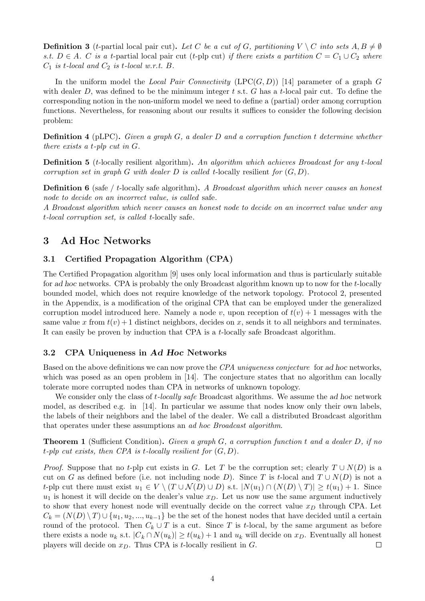**Definition 3** (t-partial local pair cut). Let C be a cut of G, partitioning  $V \setminus C$  into sets  $A, B \neq \emptyset$ s.t.  $D \in A$ . C is a t-partial local pair cut (t-plp cut) if there exists a partition  $C = C_1 \cup C_2$  where  $C_1$  is t-local and  $C_2$  is t-local w.r.t. B.

In the uniform model the *Local Pair Connectivity* (LPC $(G, D)$ ) [14] parameter of a graph G with dealer  $D$ , was defined to be the minimum integer t s.t. G has a t-local pair cut. To define the corresponding notion in the non-uniform model we need to define a (partial) order among corruption functions. Nevertheless, for reasoning about our results it suffices to consider the following decision problem:

Definition 4 (pLPC). Given a graph G, a dealer D and a corruption function t determine whether there exists a t-plp cut in G.

Definition 5 (t-locally resilient algorithm). An algorithm which achieves Broadcast for any t-local corruption set in graph G with dealer D is called t-locally resilient for  $(G, D)$ .

**Definition 6** (safe / t-locally safe algorithm). A Broadcast algorithm which never causes an honest node to decide on an incorrect value, is called safe.

A Broadcast algorithm which never causes an honest node to decide on an incorrect value under any t-local corruption set, is called t-locally safe.

## 3 Ad Hoc Networks

### 3.1 Certified Propagation Algorithm (CPA)

The Certified Propagation algorithm [9] uses only local information and thus is particularly suitable for ad hoc networks. CPA is probably the only Broadcast algorithm known up to now for the t-locally bounded model, which does not require knowledge of the network topology. Protocol 2, presented in the Appendix, is a modification of the original CPA that can be employed under the generalized corruption model introduced here. Namely a node v, upon reception of  $t(v) + 1$  messages with the same value x from  $t(v) + 1$  distinct neighbors, decides on x, sends it to all neighbors and terminates. It can easily be proven by induction that CPA is a t-locally safe Broadcast algorithm.

### 3.2 CPA Uniqueness in Ad Hoc Networks

Based on the above definitions we can now prove the CPA uniqueness conjecture for ad hoc networks, which was posed as an open problem in [14]. The conjecture states that no algorithm can locally tolerate more corrupted nodes than CPA in networks of unknown topology.

We consider only the class of t-locally safe Broadcast algorithms. We assume the ad hoc network model, as described e.g. in [14]. In particular we assume that nodes know only their own labels, the labels of their neighbors and the label of the dealer. We call a distributed Broadcast algorithm that operates under these assumptions an ad hoc Broadcast algorithm.

**Theorem 1** (Sufficient Condition). Given a graph  $G$ , a corruption function t and a dealer  $D$ , if no t-plp cut exists, then CPA is t-locally resilient for  $(G, D)$ .

*Proof.* Suppose that no t-plp cut exists in G. Let T be the corruption set; clearly  $T \cup N(D)$  is a cut on G as defined before (i.e. not including node D). Since T is t-local and  $T \cup N(D)$  is not a t-plp cut there must exist  $u_1 \in V \setminus (T \cup \mathcal{N}(D) \cup D)$  s.t.  $|N(u_1) \cap (N(D) \setminus T)| \ge t(u_1) + 1$ . Since  $u_1$  is honest it will decide on the dealer's value  $x_D$ . Let us now use the same argument inductively to show that every honest node will eventually decide on the correct value  $x<sub>D</sub>$  through CPA. Let  $C_k = (N(D) \setminus T) \cup \{u_1, u_2, ..., u_{k-1}\}\$ be the set of the honest nodes that have decided until a certain round of the protocol. Then  $C_k \cup T$  is a cut. Since T is t-local, by the same argument as before there exists a node  $u_k$  s.t.  $|C_k \cap N(u_k)| \ge t(u_k) + 1$  and  $u_k$  will decide on  $x_D$ . Eventually all honest players will decide on  $x_D$ . Thus CPA is *t*-locally resilient in *G*. players will decide on  $x_D$ . Thus CPA is t-locally resilient in  $G$ .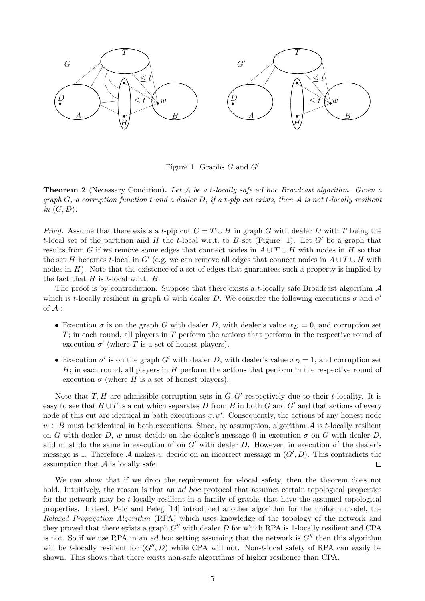

Figure 1: Graphs  $G$  and  $G'$ 

**Theorem 2** (Necessary Condition). Let A be a t-locally safe ad hoc Broadcast algorithm. Given a graph G, a corruption function t and a dealer D, if a t-plp cut exists, then A is not t-locally resilient in  $(G, D)$ .

*Proof.* Assume that there exists a t-plp cut  $C = T \cup H$  in graph G with dealer D with T being the t-local set of the partition and H the t-local w.r.t. to B set (Figure 1). Let G' be a graph that results from G if we remove some edges that connect nodes in  $A \cup T \cup H$  with nodes in H so that the set H becomes t-local in G' (e.g. we can remove all edges that connect nodes in  $A \cup T \cup H$  with nodes in  $H$ ). Note that the existence of a set of edges that guarantees such a property is implied by the fact that  $H$  is t-local w.r.t.  $B$ .

The proof is by contradiction. Suppose that there exists a t-locally safe Broadcast algorithm  $A$ which is t-locally resilient in graph G with dealer D. We consider the following executions  $\sigma$  and  $\sigma'$ of  $A$  :

- Execution  $\sigma$  is on the graph G with dealer D, with dealer's value  $x_D = 0$ , and corruption set  $T$ ; in each round, all players in  $T$  perform the actions that perform in the respective round of execution  $\sigma'$  (where T is a set of honest players).
- Execution  $\sigma'$  is on the graph G' with dealer D, with dealer's value  $x_D = 1$ , and corruption set  $H$ ; in each round, all players in  $H$  perform the actions that perform in the respective round of execution  $\sigma$  (where H is a set of honest players).

Note that  $T, H$  are admissible corruption sets in  $G, G'$  respectively due to their t-locality. It is easy to see that  $H \cup T$  is a cut which separates D from B in both G and G' and that actions of every node of this cut are identical in both executions  $\sigma, \sigma'$ . Consequently, the actions of any honest node  $w \in B$  must be identical in both executions. Since, by assumption, algorithm A is t-locally resilient on G with dealer D, w must decide on the dealer's message 0 in execution  $\sigma$  on G with dealer D, and must do the same in execution  $\sigma'$  on G' with dealer D. However, in execution  $\sigma'$  the dealer's message is 1. Therefore  $A$  makes w decide on an incorrect message in  $(G', D)$ . This contradicts the assumption that  $A$  is locally safe.  $\Box$ 

We can show that if we drop the requirement for  $t$ -local safety, then the theorem does not hold. Intuitively, the reason is that an ad hoc protocol that assumes certain topological properties for the network may be t-locally resilient in a family of graphs that have the assumed topological properties. Indeed, Pelc and Peleg [14] introduced another algorithm for the uniform model, the Relaxed Propagation Algorithm (RPA) which uses knowledge of the topology of the network and they proved that there exists a graph  $G''$  with dealer D for which RPA is 1-locally resilient and CPA is not. So if we use RPA in an ad hoc setting assuming that the network is  $G''$  then this algorithm will be t-locally resilient for  $(G'', D)$  while CPA will not. Non-t-local safety of RPA can easily be shown. This shows that there exists non-safe algorithms of higher resilience than CPA.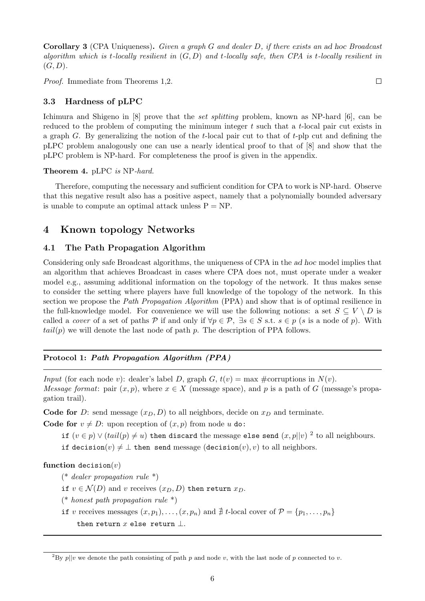Corollary 3 (CPA Uniqueness). Given a graph G and dealer D, if there exists an ad hoc Broadcast algorithm which is t-locally resilient in  $(G, D)$  and t-locally safe, then CPA is t-locally resilient in  $(G, D)$ .

Proof. Immediate from Theorems 1,2.

## 3.3 Hardness of pLPC

Ichimura and Shigeno in [8] prove that the set splitting problem, known as NP-hard [6], can be reduced to the problem of computing the minimum integer  $t$  such that a  $t$ -local pair cut exists in a graph G. By generalizing the notion of the  $t$ -local pair cut to that of  $t$ -plp cut and defining the pLPC problem analogously one can use a nearly identical proof to that of [8] and show that the pLPC problem is NP-hard. For completeness the proof is given in the appendix.

#### Theorem 4. pLPC is NP-hard.

Therefore, computing the necessary and sufficient condition for CPA to work is NP-hard. Observe that this negative result also has a positive aspect, namely that a polynomially bounded adversary is unable to compute an optimal attack unless  $P = NP$ .

## 4 Known topology Networks

#### 4.1 The Path Propagation Algorithm

Considering only safe Broadcast algorithms, the uniqueness of CPA in the ad hoc model implies that an algorithm that achieves Broadcast in cases where CPA does not, must operate under a weaker model e.g., assuming additional information on the topology of the network. It thus makes sense to consider the setting where players have full knowledge of the topology of the network. In this section we propose the *Path Propagation Algorithm* (PPA) and show that is of optimal resilience in the full-knowledge model. For convenience we will use the following notions: a set  $S \subseteq V \setminus D$  is called a *cover* of a set of paths P if and only if  $\forall p \in \mathcal{P}, \exists s \in S \text{ s.t. } s \in p \ (s \text{ is a node of } p).$  With  $tail(p)$  we will denote the last node of path p. The description of PPA follows.

## Protocol 1: Path Propagation Algorithm (PPA)

Input (for each node v): dealer's label D, graph  $G, t(v) = \max \# \text{correlations in } N(v)$ . *Message format:* pair  $(x, p)$ , where  $x \in X$  (message space), and p is a path of G (message's propagation trail).

Code for D: send message  $(x_D, D)$  to all neighbors, decide on  $x_D$  and terminate.

**Code for**  $v \neq D$ : upon reception of  $(x, p)$  from node u do:

if  $(v \in p) \vee (tail(p) \neq u)$  then discard the message else send  $(x, p||v)$  <sup>2</sup> to all neighbours. if decision $(v) \neq \bot$  then send message (decision $(v), v$ ) to all neighbors.

## function decision $(v)$

(\* dealer propagation rule \*)

if  $v \in \mathcal{N}(D)$  and v receives  $(x_D, D)$  then return  $x_D$ .

(\* honest path propagation rule \*)

if v receives messages  $(x, p_1), \ldots, (x, p_n)$  and  $\#$  t-local cover of  $\mathcal{P} = \{p_1, \ldots, p_n\}$ then return  $x$  else return  $\bot$ .

 $\Box$ 

<sup>&</sup>lt;sup>2</sup>By p||v we denote the path consisting of path p and node v, with the last node of p connected to v.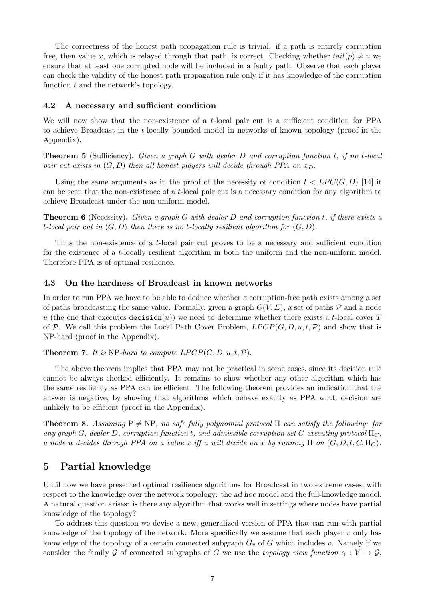The correctness of the honest path propagation rule is trivial: if a path is entirely corruption free, then value x, which is relayed through that path, is correct. Checking whether  $tail(p) \neq u$  we ensure that at least one corrupted node will be included in a faulty path. Observe that each player can check the validity of the honest path propagation rule only if it has knowledge of the corruption function t and the network's topology.

#### 4.2 A necessary and sufficient condition

We will now show that the non-existence of a t-local pair cut is a sufficient condition for PPA to achieve Broadcast in the t-locally bounded model in networks of known topology (proof in the Appendix).

**Theorem 5** (Sufficiency). Given a graph G with dealer D and corruption function t, if no t-local pair cut exists in  $(G, D)$  then all honest players will decide through PPA on  $x_D$ .

Using the same arguments as in the proof of the necessity of condition  $t < LPC(G, D)$  [14] it can be seen that the non-existence of a t-local pair cut is a necessary condition for any algorithm to achieve Broadcast under the non-uniform model.

Theorem 6 (Necessity). Given a graph G with dealer D and corruption function t, if there exists a t-local pair cut in  $(G, D)$  then there is no t-locally resilient algorithm for  $(G, D)$ .

Thus the non-existence of a t-local pair cut proves to be a necessary and sufficient condition for the existence of a t-locally resilient algorithm in both the uniform and the non-uniform model. Therefore PPA is of optimal resilience.

#### 4.3 On the hardness of Broadcast in known networks

In order to run PPA we have to be able to deduce whether a corruption-free path exists among a set of paths broadcasting the same value. Formally, given a graph  $G(V, E)$ , a set of paths  $\mathcal P$  and a node u (the one that executes  $\text{decision}(u)$ ) we need to determine whether there exists a t-local cover T of P. We call this problem the Local Path Cover Problem,  $LPCP(G, D, u, t, P)$  and show that is NP-hard (proof in the Appendix).

**Theorem 7.** It is NP-hard to compute  $LPCP(G, D, u, t, P)$ .

The above theorem implies that PPA may not be practical in some cases, since its decision rule cannot be always checked efficiently. It remains to show whether any other algorithm which has the same resiliency as PPA can be efficient. The following theorem provides an indication that the answer is negative, by showing that algorithms which behave exactly as PPA w.r.t. decision are unlikely to be efficient (proof in the Appendix).

**Theorem 8.** Assuming  $P \neq NP$ , no safe fully polynomial protocol  $\Pi$  can satisfy the following: for any graph G, dealer D, corruption function t, and admissible corruption set C executing protocol  $\Pi_C$ , a node u decides through PPA on a value x iff u will decide on x by running  $\Pi$  on  $(G, D, t, C, \Pi_C)$ .

# 5 Partial knowledge

Until now we have presented optimal resilience algorithms for Broadcast in two extreme cases, with respect to the knowledge over the network topology: the ad hoc model and the full-knowledge model. A natural question arises: is there any algorithm that works well in settings where nodes have partial knowledge of the topology?

To address this question we devise a new, generalized version of PPA that can run with partial knowledge of the topology of the network. More specifically we assume that each player  $v$  only has knowledge of the topology of a certain connected subgraph  $G_v$  of G which includes v. Namely if we consider the family G of connected subgraphs of G we use the topology view function  $\gamma: V \to \mathcal{G}$ ,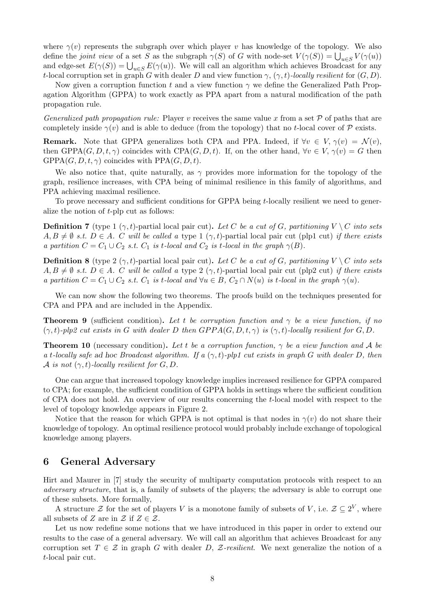where  $\gamma(v)$  represents the subgraph over which player v has knowledge of the topology. We also define the *joint view* of a set S as the subgraph  $\gamma(S)$  of G with node-set  $V(\gamma(S)) = \bigcup_{u \in S} V(\gamma(u))$ and edge-set  $E(\gamma(S)) = \bigcup_{u \in S} E(\gamma(u))$ . We will call an algorithm which achieves Broadcast for any t-local corruption set in graph G with dealer D and view function  $\gamma$ ,  $(\gamma, t)$ -locally resilient for  $(G, D)$ .

Now given a corruption function t and a view function  $\gamma$  we define the Generalized Path Propagation Algorithm (GPPA) to work exactly as PPA apart from a natural modification of the path propagation rule.

Generalized path propagation rule: Player v receives the same value x from a set  $\mathcal P$  of paths that are completely inside  $\gamma(v)$  and is able to deduce (from the topology) that no t-local cover of P exists.

**Remark.** Note that GPPA generalizes both CPA and PPA. Indeed, if  $\forall v \in V$ ,  $\gamma(v) = \mathcal{N}(v)$ , then GPPA(G, D, t,  $\gamma$ ) coincides with CPA(G, D, t). If, on the other hand,  $\forall v \in V$ ,  $\gamma(v) = G$  then  $GPPA(G, D, t, \gamma)$  coincides with  $PPA(G, D, t)$ .

We also notice that, quite naturally, as  $\gamma$  provides more information for the topology of the graph, resilience increases, with CPA being of minimal resilience in this family of algorithms, and PPA achieving maximal resilience.

To prove necessary and sufficient conditions for GPPA being t-locally resilient we need to generalize the notion of t-plp cut as follows:

**Definition 7** (type 1  $(\gamma, t)$ -partial local pair cut). Let C be a cut of G, partitioning  $V \setminus C$  into sets  $A, B \neq \emptyset$  s.t.  $D \in A$ . C will be called a type 1  $(\gamma, t)$ -partial local pair cut (plp1 cut) if there exists a partition  $C = C_1 \cup C_2$  s.t.  $C_1$  is t-local and  $C_2$  is t-local in the graph  $\gamma(B)$ .

**Definition 8** (type 2  $(\gamma, t)$ -partial local pair cut). Let C be a cut of G, partitioning  $V \setminus C$  into sets  $A, B \neq \emptyset$  s.t.  $D \in A$ . C will be called a type 2  $(\gamma, t)$ -partial local pair cut (plp2 cut) if there exists a partition  $C = C_1 \cup C_2$  s.t.  $C_1$  is t-local and  $\forall u \in B$ ,  $C_2 \cap N(u)$  is t-local in the graph  $\gamma(u)$ .

We can now show the following two theorems. The proofs build on the techniques presented for CPA and PPA and are included in the Appendix.

**Theorem 9** (sufficient condition). Let t be corruption function and  $\gamma$  be a view function, if no  $(\gamma, t)$ -plp2 cut exists in G with dealer D then  $GPPA(G, D, t, \gamma)$  is  $(\gamma, t)$ -locally resilient for G, D.

**Theorem 10** (necessary condition). Let t be a corruption function,  $\gamma$  be a view function and A be a t-locally safe ad hoc Broadcast algorithm. If a  $(\gamma, t)$ -plp1 cut exists in graph G with dealer D, then A is not  $(\gamma, t)$ -locally resilient for  $G, D$ .

One can argue that increased topology knowledge implies increased resilience for GPPA compared to CPA; for example, the sufficient condition of GPPA holds in settings where the sufficient condition of CPA does not hold. An overview of our results concerning the t-local model with respect to the level of topology knowledge appears in Figure 2.

Notice that the reason for which GPPA is not optimal is that nodes in  $\gamma(v)$  do not share their knowledge of topology. An optimal resilience protocol would probably include exchange of topological knowledge among players.

## 6 General Adversary

Hirt and Maurer in [7] study the security of multiparty computation protocols with respect to an adversary structure, that is, a family of subsets of the players; the adversary is able to corrupt one of these subsets. More formally,

A structure  $\mathcal Z$  for the set of players V is a monotone family of subsets of V, i.e.  $\mathcal Z \subseteq 2^V$ , where all subsets of Z are in  $\mathcal{Z}$  if  $Z \in \mathcal{Z}$ .

Let us now redefine some notions that we have introduced in this paper in order to extend our results to the case of a general adversary. We will call an algorithm that achieves Broadcast for any corruption set  $T \in \mathcal{Z}$  in graph G with dealer D,  $\mathcal{Z}\text{-}resilient$ . We next generalize the notion of a t-local pair cut.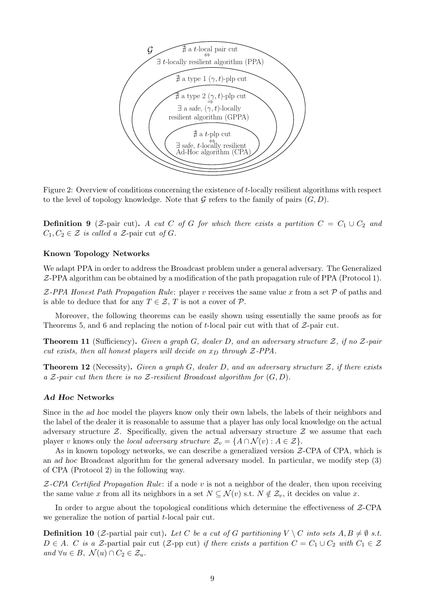

Figure 2: Overview of conditions concerning the existence of t-locally resilient algorithms with respect to the level of topology knowledge. Note that  $\mathcal G$  refers to the family of pairs  $(G, D)$ .

**Definition 9** (Z-pair cut). A cut C of G for which there exists a partition  $C = C_1 \cup C_2$  and  $C_1, C_2 \in \mathcal{Z}$  is called a  $\mathcal{Z}$ -pair cut of G.

#### Known Topology Networks

We adapt PPA in order to address the Broadcast problem under a general adversary. The Generalized  $Z$ -PPA algorithm can be obtained by a modification of the path propagation rule of PPA (Protocol 1).

 $Z$ -PPA Honest Path Propagation Rule: player v receives the same value x from a set P of paths and is able to deduce that for any  $T \in \mathcal{Z}, T$  is not a cover of  $\mathcal{P}$ .

Moreover, the following theorems can be easily shown using essentially the same proofs as for Theorems 5, and 6 and replacing the notion of t-local pair cut with that of  $\mathcal{Z}\text{-pair}$  cut.

**Theorem 11** (Sufficiency). Given a graph G, dealer D, and an adversary structure  $\mathcal{Z}$ , if no  $\mathcal{Z}$ -pair cut exists, then all honest players will decide on  $x_D$  through  $\mathcal{Z-PPA}$ .

**Theorem 12** (Necessity). Given a graph G, dealer D, and an adversary structure Z, if there exists a Z-pair cut then there is no Z-resilient Broadcast algorithm for  $(G, D)$ .

#### Ad Hoc Networks

Since in the ad hoc model the players know only their own labels, the labels of their neighbors and the label of the dealer it is reasonable to assume that a player has only local knowledge on the actual adversary structure  $Z$ . Specifically, given the actual adversary structure  $Z$  we assume that each player v knows only the *local adversary structure*  $\mathcal{Z}_v = \{A \cap \mathcal{N}(v) : A \in \mathcal{Z}\}.$ 

As in known topology networks, we can describe a generalized version  $Z$ -CPA of CPA, which is an ad hoc Broadcast algorithm for the general adversary model. In particular, we modify step (3) of CPA (Protocol 2) in the following way.

 $Z$ -CPA Certified Propagation Rule: if a node v is not a neighbor of the dealer, then upon receiving the same value x from all its neighbors in a set  $N \subseteq \mathcal{N}(v)$  s.t.  $N \notin \mathcal{Z}_v$ , it decides on value x.

In order to argue about the topological conditions which determine the effectiveness of  $Z$ -CPA we generalize the notion of partial t-local pair cut.

**Definition 10** (Z-partial pair cut). Let C be a cut of G partitioning  $V \setminus C$  into sets  $A, B \neq \emptyset$  s.t.  $D \in A$ . C is a Z-partial pair cut (Z-pp cut) if there exists a partition  $C = C_1 \cup C_2$  with  $C_1 \in \mathcal{Z}$ and  $\forall u \in B$ ,  $\mathcal{N}(u) \cap C_2 \in \mathcal{Z}_u$ .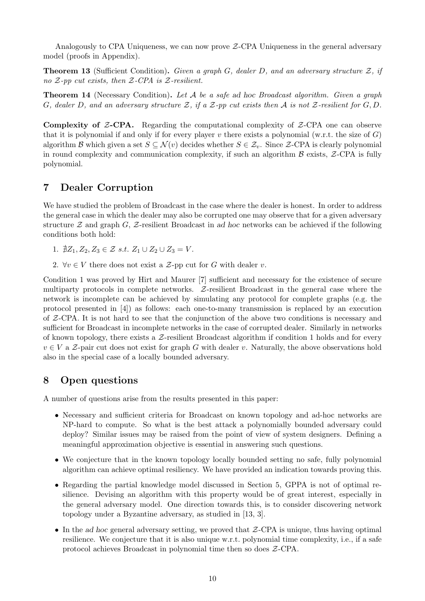Analogously to CPA Uniqueness, we can now prove  $Z$ -CPA Uniqueness in the general adversary model (proofs in Appendix).

**Theorem 13** (Sufficient Condition). Given a graph G, dealer D, and an adversary structure  $Z$ , if no  $\mathcal{Z}\text{-}pp$  cut exists, then  $\mathcal{Z}\text{-}CPA$  is  $\mathcal{Z}\text{-}resilient$ .

**Theorem 14** (Necessary Condition). Let A be a safe ad hoc Broadcast algorithm. Given a graph G, dealer D, and an adversary structure  $\mathcal{Z}$ , if a  $\mathcal{Z}$ -pp cut exists then  $\mathcal{A}$  is not  $\mathcal{Z}$ -resilient for  $G, D$ .

**Complexity of**  $Z$ **-CPA.** Regarding the computational complexity of  $Z$ -CPA one can observe that it is polynomial if and only if for every player v there exists a polynomial (w.r.t. the size of  $G$ ) algorithm B which given a set  $S \subseteq \mathcal{N}(v)$  decides whether  $S \in \mathcal{Z}_v$ . Since  $\mathcal{Z}\text{-CPA}$  is clearly polynomial in round complexity and communication complexity, if such an algorithm  $\beta$  exists,  $\beta$ -CPA is fully polynomial.

# 7 Dealer Corruption

We have studied the problem of Broadcast in the case where the dealer is honest. In order to address the general case in which the dealer may also be corrupted one may observe that for a given adversary structure  $\mathcal Z$  and graph  $G, \mathcal Z$ -resilient Broadcast in ad hoc networks can be achieved if the following conditions both hold:

- 1.  $\sharp Z_1, Z_2, Z_3 \in \mathcal{Z}$  s.t.  $Z_1 \cup Z_2 \cup Z_3 = V$ .
- 2.  $\forall v \in V$  there does not exist a Z-pp cut for G with dealer v.

Condition 1 was proved by Hirt and Maurer [7] sufficient and necessary for the existence of secure multiparty protocols in complete networks.  $Z$ -resilient Broadcast in the general case where the network is incomplete can be achieved by simulating any protocol for complete graphs (e.g. the protocol presented in [4]) as follows: each one-to-many transmission is replaced by an execution of  $Z$ -CPA. It is not hard to see that the conjunction of the above two conditions is necessary and sufficient for Broadcast in incomplete networks in the case of corrupted dealer. Similarly in networks of known topology, there exists a  $\mathcal{Z}\text{-resilient Broadcast algorithm if condition 1 holds and for every}$  $v \in V$  a  $\mathcal{Z}$ -pair cut does not exist for graph G with dealer v. Naturally, the above observations hold also in the special case of a locally bounded adversary.

# 8 Open questions

A number of questions arise from the results presented in this paper:

- Necessary and sufficient criteria for Broadcast on known topology and ad-hoc networks are NP-hard to compute. So what is the best attack a polynomially bounded adversary could deploy? Similar issues may be raised from the point of view of system designers. Defining a meaningful approximation objective is essential in answering such questions.
- We conjecture that in the known topology locally bounded setting no safe, fully polynomial algorithm can achieve optimal resiliency. We have provided an indication towards proving this.
- Regarding the partial knowledge model discussed in Section 5, GPPA is not of optimal resilience. Devising an algorithm with this property would be of great interest, especially in the general adversary model. One direction towards this, is to consider discovering network topology under a Byzantine adversary, as studied in [13, 3].
- In the ad hoc general adversary setting, we proved that  $Z$ -CPA is unique, thus having optimal resilience. We conjecture that it is also unique w.r.t. polynomial time complexity, i.e., if a safe protocol achieves Broadcast in polynomial time then so does Z-CPA.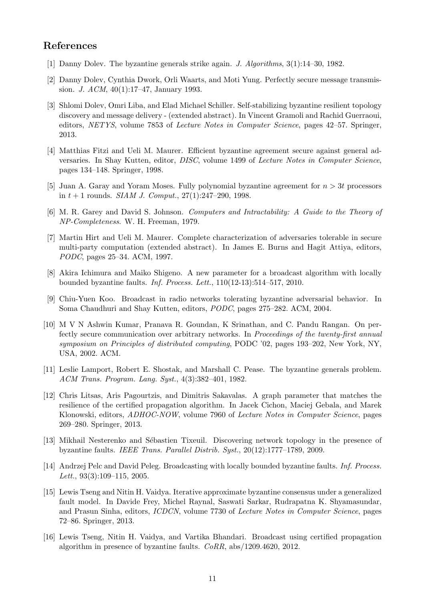# References

- [1] Danny Dolev. The byzantine generals strike again. J. Algorithms, 3(1):14–30, 1982.
- [2] Danny Dolev, Cynthia Dwork, Orli Waarts, and Moti Yung. Perfectly secure message transmission. J. ACM, 40(1):17–47, January 1993.
- [3] Shlomi Dolev, Omri Liba, and Elad Michael Schiller. Self-stabilizing byzantine resilient topology discovery and message delivery - (extended abstract). In Vincent Gramoli and Rachid Guerraoui, editors, NETYS, volume 7853 of Lecture Notes in Computer Science, pages 42–57. Springer, 2013.
- [4] Matthias Fitzi and Ueli M. Maurer. Efficient byzantine agreement secure against general adversaries. In Shay Kutten, editor, DISC, volume 1499 of Lecture Notes in Computer Science, pages 134–148. Springer, 1998.
- [5] Juan A. Garay and Yoram Moses. Fully polynomial byzantine agreement for  $n > 3t$  processors in  $t + 1$  rounds. *SIAM J. Comput.*,  $27(1):247-290$ , 1998.
- [6] M. R. Garey and David S. Johnson. Computers and Intractability: A Guide to the Theory of NP-Completeness. W. H. Freeman, 1979.
- [7] Martin Hirt and Ueli M. Maurer. Complete characterization of adversaries tolerable in secure multi-party computation (extended abstract). In James E. Burns and Hagit Attiya, editors, PODC, pages 25–34. ACM, 1997.
- [8] Akira Ichimura and Maiko Shigeno. A new parameter for a broadcast algorithm with locally bounded byzantine faults. Inf. Process. Lett., 110(12-13):514–517, 2010.
- [9] Chiu-Yuen Koo. Broadcast in radio networks tolerating byzantine adversarial behavior. In Soma Chaudhuri and Shay Kutten, editors, PODC, pages 275–282. ACM, 2004.
- [10] M V N Ashwin Kumar, Pranava R. Goundan, K Srinathan, and C. Pandu Rangan. On perfectly secure communication over arbitrary networks. In Proceedings of the twenty-first annual symposium on Principles of distributed computing, PODC '02, pages 193–202, New York, NY, USA, 2002. ACM.
- [11] Leslie Lamport, Robert E. Shostak, and Marshall C. Pease. The byzantine generals problem. ACM Trans. Program. Lang. Syst., 4(3):382–401, 1982.
- [12] Chris Litsas, Aris Pagourtzis, and Dimitris Sakavalas. A graph parameter that matches the resilience of the certified propagation algorithm. In Jacek Cichon, Maciej Gebala, and Marek Klonowski, editors, ADHOC-NOW, volume 7960 of Lecture Notes in Computer Science, pages 269–280. Springer, 2013.
- [13] Mikhail Nesterenko and Sébastien Tixeuil. Discovering network topology in the presence of byzantine faults. IEEE Trans. Parallel Distrib. Syst., 20(12):1777–1789, 2009.
- [14] Andrzej Pelc and David Peleg. Broadcasting with locally bounded byzantine faults. Inf. Process. Lett., 93(3):109–115, 2005.
- [15] Lewis Tseng and Nitin H. Vaidya. Iterative approximate byzantine consensus under a generalized fault model. In Davide Frey, Michel Raynal, Saswati Sarkar, Rudrapatna K. Shyamasundar, and Prasun Sinha, editors, ICDCN, volume 7730 of Lecture Notes in Computer Science, pages 72–86. Springer, 2013.
- [16] Lewis Tseng, Nitin H. Vaidya, and Vartika Bhandari. Broadcast using certified propagation algorithm in presence of byzantine faults. CoRR, abs/1209.4620, 2012.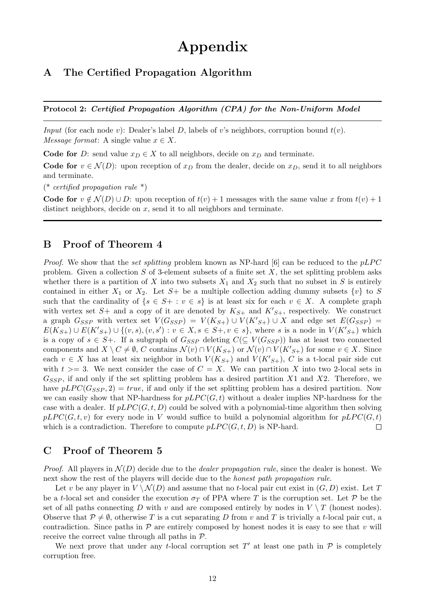# Appendix

# A The Certified Propagation Algorithm

Protocol 2: Certified Propagation Algorithm (CPA) for the Non-Uniform Model

*Input* (for each node v): Dealer's label D, labels of v's neighbors, corruption bound  $t(v)$ . *Message format:* A single value  $x \in X$ .

Code for D: send value  $x_D \in X$  to all neighbors, decide on  $x_D$  and terminate.

Code for  $v \in \mathcal{N}(D)$ : upon reception of  $x_D$  from the dealer, decide on  $x_D$ , send it to all neighbors and terminate.

 $(*$  certified propagation rule  $*)$ 

Code for  $v \notin \mathcal{N}(D) \cup D$ : upon reception of  $t(v) + 1$  messages with the same value x from  $t(v) + 1$ distinct neighbors, decide on  $x$ , send it to all neighbors and terminate.

## B Proof of Theorem 4

*Proof.* We show that the set splitting problem known as NP-hard [6] can be reduced to the  $pLPC$ problem. Given a collection  $S$  of 3-element subsets of a finite set  $X$ , the set splitting problem asks whether there is a partition of X into two subsets  $X_1$  and  $X_2$  such that no subset in S is entirely contained in either  $X_1$  or  $X_2$ . Let  $S+$  be a multiple collection adding dummy subsets  $\{v\}$  to S such that the cardinality of  $\{s \in S + : v \in s\}$  is at least six for each  $v \in X$ . A complete graph with vertex set  $S+$  and a copy of it are denoted by  $K_{S+}$  and  $K'_{S+}$ , respectively. We construct a graph  $G_{SSP}$  with vertex set  $V(G_{SSP}) = V(K_{S+}) \cup V(K'_{S+}) \cup X$  and edge set  $E(G_{SSP}) =$  $E(K_{S+}) \cup E(K'_{S+}) \cup \{(v, s), (v, s') : v \in X, s \in S+, v \in s\}$ , where s is a node in  $V(K'_{S+})$  which is a copy of  $s \in S<sub>+</sub>$ . If a subgraph of  $G_{SSP}$  deleting  $C(\subseteq V(G_{SSP}))$  has at least two connected components and  $X \setminus C \neq \emptyset$ , C contains  $\mathcal{N}(v) \cap V(K_{S+})$  or  $\mathcal{N}(v) \cap V(K'_{S+})$  for some  $v \in X$ . Since each  $v \in X$  has at least six neighbor in both  $V(K_{S+})$  and  $V(K'_{S+})$ , C is a t-local pair side cut with  $t > = 3$ . We next consider the case of  $C = X$ . We can partition X into two 2-local sets in  $G_{SSP}$ , if and only if the set splitting problem has a desired partition X1 and X2. Therefore, we have  $pLPC(G_{SSP}, 2) = true$ , if and only if the set splitting problem has a desired partition. Now we can easily show that NP-hardness for  $pLPC(G, t)$  without a dealer implies NP-hardness for the case with a dealer. If  $pLPC(G, t, D)$  could be solved with a polynomial-time algorithm then solving  $pLPC(G, t, v)$  for every node in V would suffice to build a polynomial algorithm for  $pLPC(G, t)$ which is a contradiction. Therefore to compute  $pLPC(G, t, D)$  is NP-hard.  $\Box$ 

## C Proof of Theorem 5

*Proof.* All players in  $\mathcal{N}(D)$  decide due to the *dealer propagation rule*, since the dealer is honest. We next show the rest of the players will decide due to the honest path propagation rule.

Let v be any player in  $V \setminus \mathcal{N}(D)$  and assume that no t-local pair cut exist in  $(G, D)$  exist. Let T be a t-local set and consider the execution  $\sigma_T$  of PPA where T is the corruption set. Let P be the set of all paths connecting D with v and are composed entirely by nodes in  $V \setminus T$  (honest nodes). Observe that  $P \neq \emptyset$ , otherwise T is a cut separating D from v and T is trivially a t-local pair cut, a contradiction. Since paths in  $\mathcal P$  are entirely composed by honest nodes it is easy to see that v will receive the correct value through all paths in P.

We next prove that under any t-local corruption set  $T'$  at least one path in  $P$  is completely corruption free.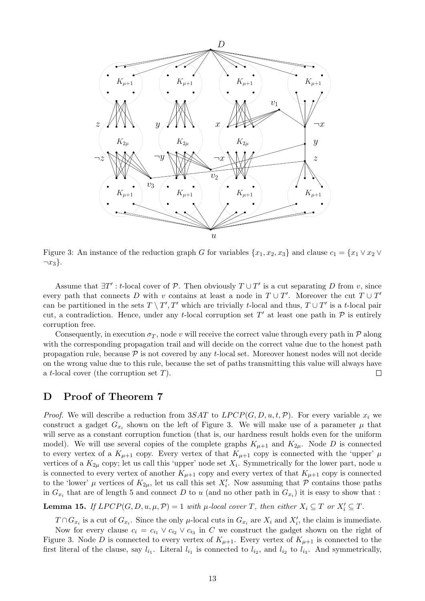

Figure 3: An instance of the reduction graph G for variables  $\{x_1, x_2, x_3\}$  and clause  $c_1 = \{x_1 \vee x_2 \vee x_3\}$  $\neg x_3$ .

Assume that  $\exists T' : t\text{-local cover of } P$ . Then obviously  $T \cup T'$  is a cut separating D from v, since every path that connects D with v contains at least a node in  $T \cup T'$ . Moreover the cut  $T \cup T'$ can be partitioned in the sets  $T \setminus T'$ ,  $T'$  which are trivially t-local and thus,  $T \cup T'$  is a t-local pair cut, a contradiction. Hence, under any t-local corruption set  $T'$  at least one path in  $P$  is entirely corruption free.

Consequently, in execution  $\sigma_T$ , node v will receive the correct value through every path in P along with the corresponding propagation trail and will decide on the correct value due to the honest path propagation rule, because  $P$  is not covered by any t-local set. Moreover honest nodes will not decide on the wrong value due to this rule, because the set of paths transmitting this value will always have a t-local cover (the corruption set  $T$ ).  $\Box$ 

## D Proof of Theorem 7

*Proof.* We will describe a reduction from  $3SAT$  to  $LPCP(G, D, u, t, P)$ . For every variable  $x_i$  we construct a gadget  $G_{x_i}$  shown on the left of Figure 3. We will make use of a parameter  $\mu$  that will serve as a constant corruption function (that is, our hardness result holds even for the uniform model). We will use several copies of the complete graphs  $K_{\mu+1}$  and  $K_{2\mu}$ . Node D is connected to every vertex of a  $K_{\mu+1}$  copy. Every vertex of that  $K_{\mu+1}$  copy is connected with the 'upper'  $\mu$ vertices of a  $K_{2\mu}$  copy; let us call this 'upper' node set  $X_i$ . Symmetrically for the lower part, node u is connected to every vertex of another  $K_{\mu+1}$  copy and every vertex of that  $K_{\mu+1}$  copy is connected to the 'lower'  $\mu$  vertices of  $K_{2\mu}$ , let us call this set  $X'_i$ . Now assuming that  $\mathcal P$  contains those paths in  $G_{x_i}$  that are of length 5 and connect D to u (and no other path in  $G_{x_i}$ ) it is easy to show that :

**Lemma 15.** If  $LPCP(G, D, u, \mu, \mathcal{P}) = 1$  with  $\mu$ -local cover T, then either  $X_i \subseteq T$  or  $X_i' \subseteq T$ .

 $T \cap G_{x_i}$  is a cut of  $G_{x_i}$ . Since the only  $\mu$ -local cuts in  $G_{x_i}$  are  $X_i$  and  $X'_i$ , the claim is immediate. Now for every clause  $c_i = c_{i_1} \vee c_{i_2} \vee c_{i_3}$  in C we construct the gadget shown on the right of Figure 3. Node D is connected to every vertex of  $K_{\mu+1}$ . Every vertex of  $K_{\mu+1}$  is connected to the first literal of the clause, say  $l_{i_1}$ . Literal  $l_{i_1}$  is connected to  $l_{i_2}$ , and  $l_{i_2}$  to  $l_{i_3}$ . And symmetrically,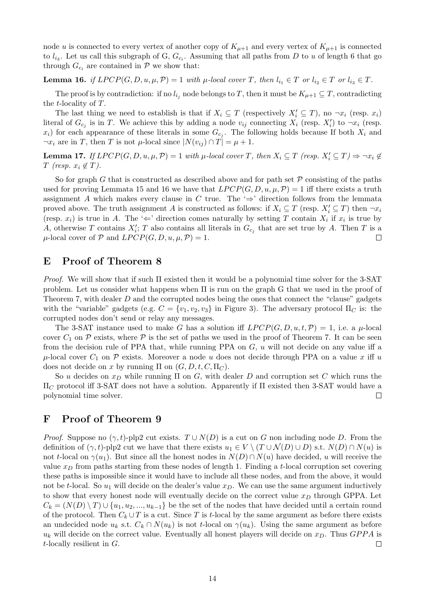node u is connected to every vertex of another copy of  $K_{\mu+1}$  and every vertex of  $K_{\mu+1}$  is connected to  $l_{i_3}$ . Let us call this subgraph of G,  $G_{c_i}$ . Assuming that all paths from D to u of length 6 that go through  $G_{c_i}$  are contained in  $P$  we show that:

**Lemma 16.** if  $LPCP(G, D, u, \mu, \mathcal{P}) = 1$  with  $\mu$ -local cover T, then  $l_{i_1} \in T$  or  $l_{i_2} \in T$  or  $l_{i_3} \in T$ .

The proof is by contradiction: if no  $l_{i_j}$  node belongs to T, then it must be  $K_{\mu+1} \subseteq T$ , contradicting the t-locality of T.

The last thing we need to establish is that if  $X_i \subseteq T$  (respectively  $X'_i \subseteq T$ ), no  $\neg x_i$  (resp.  $x_i$ ) literal of  $G_{c_j}$  is in T. We achieve this by adding a node  $v_{ij}$  connecting  $X_i$  (resp.  $X'_i$ ) to  $\neg x_i$  (resp.  $x_i$ ) for each appearance of these literals in some  $G_{c_j}$ . The following holds because If both  $X_i$  and  $\neg x_i$  are in T, then T is not  $\mu$ -local since  $|N(v_{ij}) \cap T| = \mu + 1$ .

**Lemma 17.** If  $LPCP(G, D, u, \mu, \mathcal{P}) = 1$  with  $\mu$ -local cover T, then  $X_i \subseteq T$  (resp.  $X'_i \subseteq T$ )  $\Rightarrow \neg x_i \notin T$ T (resp.  $x_i \notin T$ ).

So for graph G that is constructed as described above and for path set  $\mathcal P$  consisting of the paths used for proving Lemmata 15 and 16 we have that  $LPCP(G, D, u, \mu, \mathcal{P}) = 1$  iff there exists a truth assignment A which makes every clause in C true. The ' $\Rightarrow$ ' direction follows from the lemmata proved above. The truth assignment A is constructed as follows: if  $X_i \subseteq T$  (resp.  $X'_i \subseteq T$ ) then  $\neg x_i$ (resp.  $x_i$ ) is true in A. The ' $\Leftarrow$ ' direction comes naturally by setting T contain  $X_i$  if  $x_i$  is true by A, otherwise T contains  $X_i'$ ; T also contains all literals in  $G_{c_j}$  that are set true by A. Then T is a  $\mu$ -local cover of P and  $LPCP(G, D, u, \mu, \mathcal{P}) = 1$ .  $\Box$ 

# E Proof of Theorem 8

*Proof.* We will show that if such  $\Pi$  existed then it would be a polynomial time solver for the 3-SAT problem. Let us consider what happens when Π is run on the graph G that we used in the proof of Theorem 7, with dealer D and the corrupted nodes being the ones that connect the "clause" gadgets with the "variable" gadgets (e.g.  $C = \{v_1, v_2, v_3\}$  in Figure 3). The adversary protocol  $\Pi_C$  is: the corrupted nodes don't send or relay any messages.

The 3-SAT instance used to make G has a solution iff  $LPCP(G, D, u, t, \mathcal{P}) = 1$ , i.e. a  $\mu$ -local cover  $C_1$  on  $P$  exists, where  $P$  is the set of paths we used in the proof of Theorem 7. It can be seen from the decision rule of PPA that, while running PPA on  $G, u$  will not decide on any value iff a  $\mu$ -local cover  $C_1$  on  $\mathcal P$  exists. Moreover a node u does not decide through PPA on a value x iff u does not decide on x by running  $\Pi$  on  $(G, D, t, C, \Pi_C)$ .

So u decides on  $x_D$  while running  $\Pi$  on  $G$ , with dealer  $D$  and corruption set  $C$  which runs the  $\Pi_C$  protocol iff 3-SAT does not have a solution. Apparently if Π existed then 3-SAT would have a polynomial time solver.  $\Box$ 

## F Proof of Theorem 9

*Proof.* Suppose no  $(\gamma, t)$ -plp2 cut exists.  $T \cup N(D)$  is a cut on G non including node D. From the definition of  $(\gamma, t)$ -plp2 cut we have that there exists  $u_1 \in V \setminus (T \cup \mathcal{N}(D) \cup D)$  s.t.  $N(D) \cap N(u)$  is not t-local on  $\gamma(u_1)$ . But since all the honest nodes in  $N(D) \cap N(u)$  have decided, u will receive the value  $x<sub>D</sub>$  from paths starting from these nodes of length 1. Finding a t-local corruption set covering these paths is impossible since it would have to include all these nodes, and from the above, it would not be t-local. So  $u_1$  will decide on the dealer's value  $x_D$ . We can use the same argument inductively to show that every honest node will eventually decide on the correct value  $x_D$  through GPPA. Let  $C_k = (N(D) \setminus T) \cup \{u_1, u_2, ..., u_{k-1}\}\$ be the set of the nodes that have decided until a certain round of the protocol. Then  $C_k \cup T$  is a cut. Since T is t-local by the same argument as before there exists an undecided node  $u_k$  s.t.  $C_k \cap N(u_k)$  is not t-local on  $\gamma(u_k)$ . Using the same argument as before  $u_k$  will decide on the correct value. Eventually all honest players will decide on  $x_D$ . Thus GPPA is  $t$ -locally resilient in  $G$ .  $\Box$